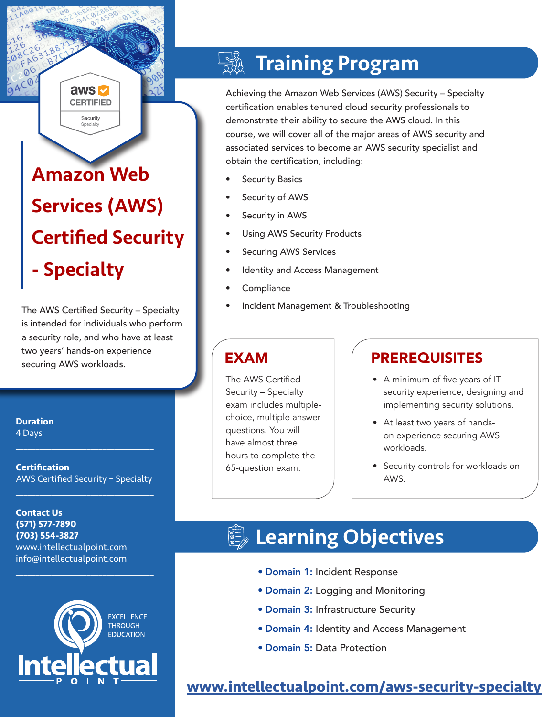# Amazon Web Services (AWS) Certified Security - Specialty

aws **M CERTIFIED** Security

The AWS Certified Security – Specialty is intended for individuals who perform a security role, and who have at least two years' hands-on experience securing AWS workloads.

**Duration** 4 Days

**Certification** AWS Certified Security – Specialty

 $\mathcal{L}_\text{max}$  , and the set of the set of the set of the set of the set of the set of the set of the set of the set of the set of the set of the set of the set of the set of the set of the set of the set of the set of the

 $\mathcal{L}_\text{max}$  , and the set of the set of the set of the set of the set of the set of the set of the set of the set of the set of the set of the set of the set of the set of the set of the set of the set of the set of the

 $\mathcal{L}_\text{max}$  and  $\mathcal{L}_\text{max}$  and  $\mathcal{L}_\text{max}$  and  $\mathcal{L}_\text{max}$ 

**Contact Us (571) 577-7890 (703) 554-3827** www.intellectualpoint.com info@intellectualpoint.com



## Training Program

Achieving the Amazon Web Services (AWS) Security – Specialty certification enables tenured cloud security professionals to demonstrate their ability to secure the AWS cloud. In this course, we will cover all of the major areas of AWS security and associated services to become an AWS security specialist and obtain the certification, including:

- **Security Basics**
- Security of AWS
- Security in AWS
- Using AWS Security Products
- Securing AWS Services
- Identity and Access Management
- **Compliance**
- Incident Management & Troubleshooting

The AWS Certified Security – Specialty exam includes multiplechoice, multiple answer questions. You will have almost three hours to complete the 65-question exam.

## EXAM PREREQUISITES

- A minimum of five years of IT security experience, designing and implementing security solutions.
- At least two years of handson experience securing AWS workloads.
- Security controls for workloads on AWS.

## Learning Objectives

- Domain 1: Incident Response
- Domain 2: Logging and Monitoring
- Domain 3: Infrastructure Security
- Domain 4: Identity and Access Management
- Domain 5: Data Protection

## **[www.intellectualpoint.com/aws-s](https://www.intellectualpoint.com/product/aws-security-specialty/)ecurity-specialty**